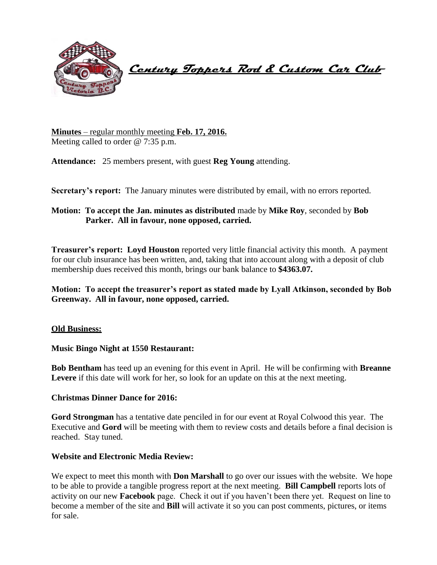

 **Century Toppers Rod & Custom Car Club** 

**Minutes** – regular monthly meeting **Feb. 17, 2016.** Meeting called to order @ 7:35 p.m.

**Attendance:** 25 members present, with guest **Reg Young** attending.

**Secretary's report:** The January minutes were distributed by email, with no errors reported.

# **Motion: To accept the Jan. minutes as distributed** made by **Mike Roy**, seconded by **Bob Parker. All in favour, none opposed, carried.**

**Treasurer's report: Loyd Houston** reported very little financial activity this month. A payment for our club insurance has been written, and, taking that into account along with a deposit of club membership dues received this month, brings our bank balance to **\$4363.07.**

**Motion: To accept the treasurer's report as stated made by Lyall Atkinson, seconded by Bob Greenway. All in favour, none opposed, carried.**

# **Old Business:**

**Music Bingo Night at 1550 Restaurant:**

**Bob Bentham** has teed up an evening for this event in April. He will be confirming with **Breanne**  Levere if this date will work for her, so look for an update on this at the next meeting.

# **Christmas Dinner Dance for 2016:**

**Gord Strongman** has a tentative date penciled in for our event at Royal Colwood this year. The Executive and **Gord** will be meeting with them to review costs and details before a final decision is reached. Stay tuned.

# **Website and Electronic Media Review:**

We expect to meet this month with **Don Marshall** to go over our issues with the website. We hope to be able to provide a tangible progress report at the next meeting. **Bill Campbell** reports lots of activity on our new **Facebook** page. Check it out if you haven't been there yet. Request on line to become a member of the site and **Bill** will activate it so you can post comments, pictures, or items for sale.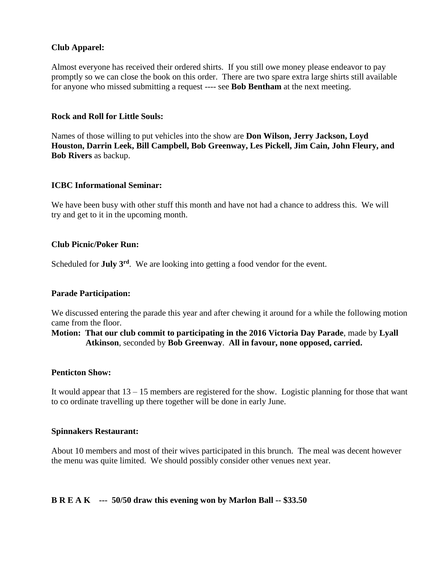# **Club Apparel:**

Almost everyone has received their ordered shirts. If you still owe money please endeavor to pay promptly so we can close the book on this order. There are two spare extra large shirts still available for anyone who missed submitting a request ---- see **Bob Bentham** at the next meeting.

### **Rock and Roll for Little Souls:**

Names of those willing to put vehicles into the show are **Don Wilson, Jerry Jackson, Loyd Houston, Darrin Leek, Bill Campbell, Bob Greenway, Les Pickell, Jim Cain, John Fleury, and Bob Rivers** as backup.

# **ICBC Informational Seminar:**

We have been busy with other stuff this month and have not had a chance to address this. We will try and get to it in the upcoming month.

### **Club Picnic/Poker Run:**

Scheduled for **July 3rd** . We are looking into getting a food vendor for the event.

### **Parade Participation:**

We discussed entering the parade this year and after chewing it around for a while the following motion came from the floor.

**Motion: That our club commit to participating in the 2016 Victoria Day Parade**, made by **Lyall Atkinson**, seconded by **Bob Greenway**. **All in favour, none opposed, carried.**

### **Penticton Show:**

It would appear that 13 – 15 members are registered for the show. Logistic planning for those that want to co ordinate travelling up there together will be done in early June.

### **Spinnakers Restaurant:**

About 10 members and most of their wives participated in this brunch. The meal was decent however the menu was quite limited. We should possibly consider other venues next year.

# **B R E A K --- 50/50 draw this evening won by Marlon Ball -- \$33.50**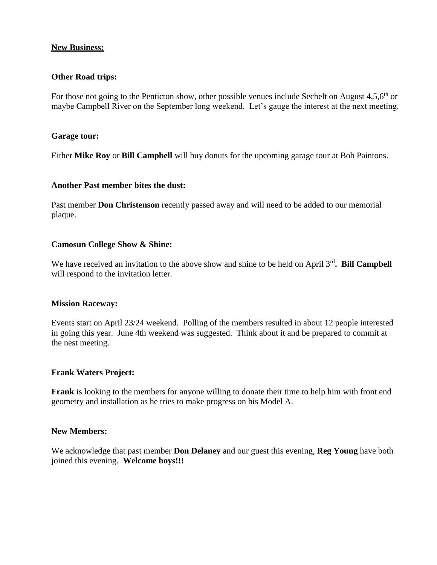# **New Business:**

### **Other Road trips:**

For those not going to the Penticton show, other possible venues include Sechelt on August  $4.5,6^{th}$  or maybe Campbell River on the September long weekend. Let's gauge the interest at the next meeting.

### **Garage tour:**

Either **Mike Roy** or **Bill Campbell** will buy donuts for the upcoming garage tour at Bob Paintons.

### **Another Past member bites the dust:**

Past member **Don Christenson** recently passed away and will need to be added to our memorial plaque.

### **Camosun College Show & Shine:**

We have received an invitation to the above show and shine to be held on April 3<sup>rd</sup>. Bill Campbell will respond to the invitation letter.

### **Mission Raceway:**

Events start on April 23/24 weekend. Polling of the members resulted in about 12 people interested in going this year. June 4th weekend was suggested. Think about it and be prepared to commit at the nest meeting.

# **Frank Waters Project:**

**Frank** is looking to the members for anyone willing to donate their time to help him with front end geometry and installation as he tries to make progress on his Model A.

### **New Members:**

We acknowledge that past member **Don Delaney** and our guest this evening, **Reg Young** have both joined this evening. **Welcome boys!!!**